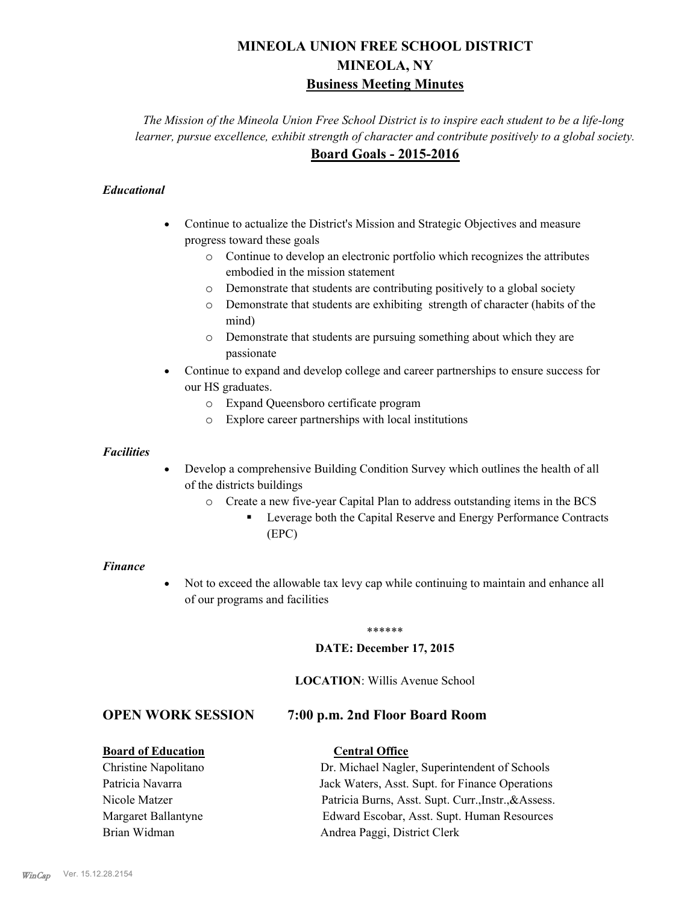# **MINEOLA UNION FREE SCHOOL DISTRICT MINEOLA, NY Business Meeting Minutes**

*The Mission of the Mineola Union Free School District is to inspire each student to be a life-long learner, pursue excellence, exhibit strength of character and contribute positively to a global society.* **Board Goals - 2015-2016**

# *Educational*

- · Continue to actualize the District's Mission and Strategic Objectives and measure progress toward these goals
	- o Continue to develop an electronic portfolio which recognizes the attributes embodied in the mission statement
	- o Demonstrate that students are contributing positively to a global society
	- o Demonstrate that students are exhibiting strength of character (habits of the mind)
	- o Demonstrate that students are pursuing something about which they are passionate
- Continue to expand and develop college and career partnerships to ensure success for our HS graduates.
	- o Expand Queensboro certificate program
	- o Explore career partnerships with local institutions

#### *Facilities*

- Develop a comprehensive Building Condition Survey which outlines the health of all of the districts buildings
	- o Create a new five-year Capital Plan to address outstanding items in the BCS
		- § Leverage both the Capital Reserve and Energy Performance Contracts (EPC)

#### *Finance*

• Not to exceed the allowable tax levy cap while continuing to maintain and enhance all of our programs and facilities

#### \*\*\*\*\*\*

#### **DATE: December 17, 2015**

#### **LOCATION**: Willis Avenue School

# **OPEN WORK SESSION 7:00 p.m. 2nd Floor Board Room**

#### **Board of Education Central Office**

# Christine Napolitano Dr. Michael Nagler, Superintendent of Schools Patricia Navarra Jack Waters, Asst. Supt. for Finance Operations Nicole Matzer Patricia Burns, Asst. Supt. Curr.,Instr.,&Assess. Margaret Ballantyne Edward Escobar, Asst. Supt. Human Resources Brian Widman **Andrea Paggi, District Clerk**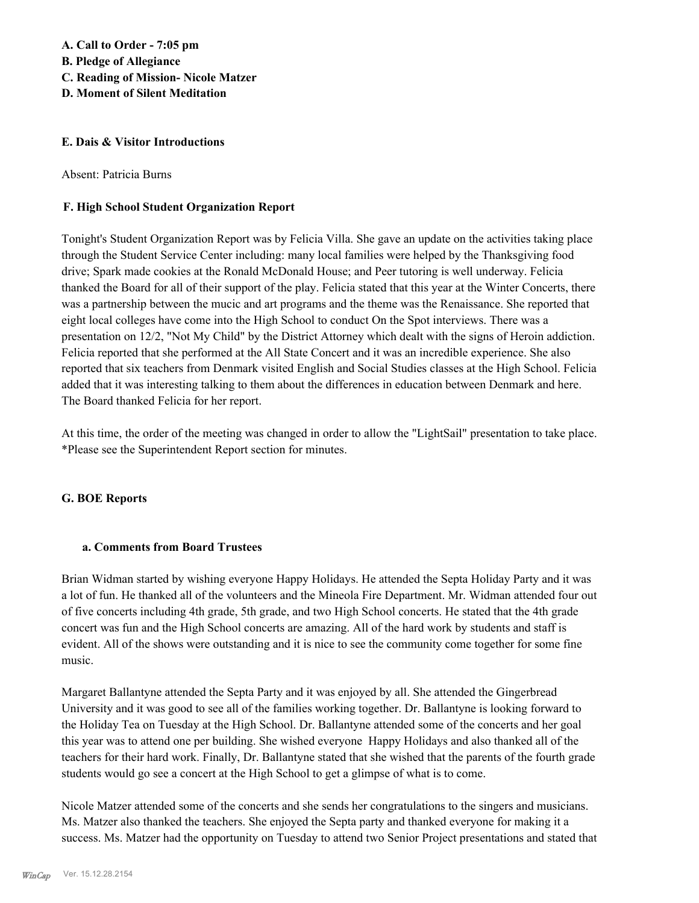# **A. Call to Order - 7:05 pm B. Pledge of Allegiance**

**C. Reading of Mission- Nicole Matzer**

**D. Moment of Silent Meditation**

#### **E. Dais & Visitor Introductions**

Absent: Patricia Burns

# **F. High School Student Organization Report**

Tonight's Student Organization Report was by Felicia Villa. She gave an update on the activities taking place through the Student Service Center including: many local families were helped by the Thanksgiving food drive; Spark made cookies at the Ronald McDonald House; and Peer tutoring is well underway. Felicia thanked the Board for all of their support of the play. Felicia stated that this year at the Winter Concerts, there was a partnership between the mucic and art programs and the theme was the Renaissance. She reported that eight local colleges have come into the High School to conduct On the Spot interviews. There was a presentation on 12/2, "Not My Child" by the District Attorney which dealt with the signs of Heroin addiction. Felicia reported that she performed at the All State Concert and it was an incredible experience. She also reported that six teachers from Denmark visited English and Social Studies classes at the High School. Felicia added that it was interesting talking to them about the differences in education between Denmark and here. The Board thanked Felicia for her report.

At this time, the order of the meeting was changed in order to allow the "LightSail" presentation to take place. \*Please see the Superintendent Report section for minutes.

# **G. BOE Reports**

# **a. Comments from Board Trustees**

Brian Widman started by wishing everyone Happy Holidays. He attended the Septa Holiday Party and it was a lot of fun. He thanked all of the volunteers and the Mineola Fire Department. Mr. Widman attended four out of five concerts including 4th grade, 5th grade, and two High School concerts. He stated that the 4th grade concert was fun and the High School concerts are amazing. All of the hard work by students and staff is evident. All of the shows were outstanding and it is nice to see the community come together for some fine music.

Margaret Ballantyne attended the Septa Party and it was enjoyed by all. She attended the Gingerbread University and it was good to see all of the families working together. Dr. Ballantyne is looking forward to the Holiday Tea on Tuesday at the High School. Dr. Ballantyne attended some of the concerts and her goal this year was to attend one per building. She wished everyone Happy Holidays and also thanked all of the teachers for their hard work. Finally, Dr. Ballantyne stated that she wished that the parents of the fourth grade students would go see a concert at the High School to get a glimpse of what is to come.

Nicole Matzer attended some of the concerts and she sends her congratulations to the singers and musicians. Ms. Matzer also thanked the teachers. She enjoyed the Septa party and thanked everyone for making it a success. Ms. Matzer had the opportunity on Tuesday to attend two Senior Project presentations and stated that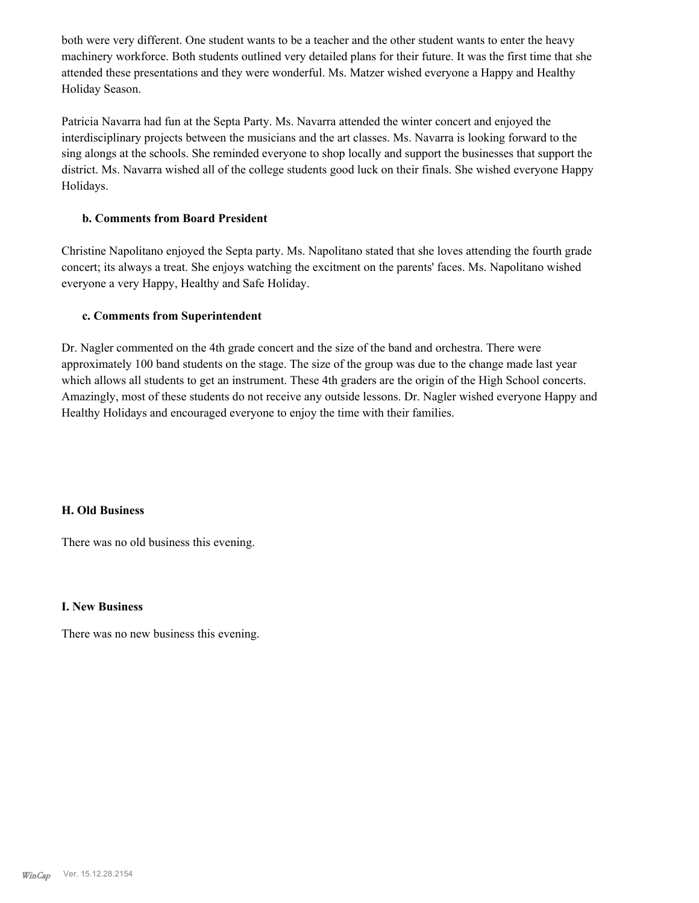both were very different. One student wants to be a teacher and the other student wants to enter the heavy machinery workforce. Both students outlined very detailed plans for their future. It was the first time that she attended these presentations and they were wonderful. Ms. Matzer wished everyone a Happy and Healthy Holiday Season.

Patricia Navarra had fun at the Septa Party. Ms. Navarra attended the winter concert and enjoyed the interdisciplinary projects between the musicians and the art classes. Ms. Navarra is looking forward to the sing alongs at the schools. She reminded everyone to shop locally and support the businesses that support the district. Ms. Navarra wished all of the college students good luck on their finals. She wished everyone Happy Holidays.

#### **b. Comments from Board President**

Christine Napolitano enjoyed the Septa party. Ms. Napolitano stated that she loves attending the fourth grade concert; its always a treat. She enjoys watching the excitment on the parents' faces. Ms. Napolitano wished everyone a very Happy, Healthy and Safe Holiday.

#### **c. Comments from Superintendent**

Dr. Nagler commented on the 4th grade concert and the size of the band and orchestra. There were approximately 100 band students on the stage. The size of the group was due to the change made last year which allows all students to get an instrument. These 4th graders are the origin of the High School concerts. Amazingly, most of these students do not receive any outside lessons. Dr. Nagler wished everyone Happy and Healthy Holidays and encouraged everyone to enjoy the time with their families.

## **H. Old Business**

There was no old business this evening.

#### **I. New Business**

There was no new business this evening.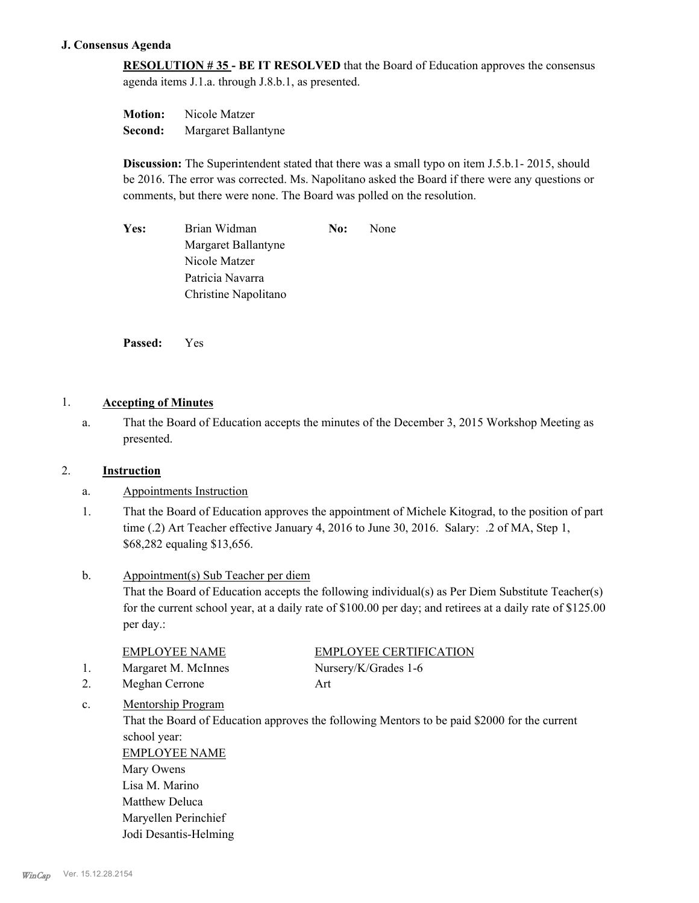#### **J. Consensus Agenda**

**RESOLUTION # 35 - BE IT RESOLVED** that the Board of Education approves the consensus agenda items J.1.a. through J.8.b.1, as presented.

**Motion:** Nicole Matzer **Second:** Margaret Ballantyne

**Discussion:** The Superintendent stated that there was a small typo on item J.5.b.1- 2015, should be 2016. The error was corrected. Ms. Napolitano asked the Board if there were any questions or comments, but there were none. The Board was polled on the resolution.

Yes: Brian Widman **No:** None Margaret Ballantyne Nicole Matzer Patricia Navarra Christine Napolitano

**Passed:** Yes

#### 1. **Accepting of Minutes**

That the Board of Education accepts the minutes of the December 3, 2015 Workshop Meeting as presented. a.

#### 2. **Instruction**

#### a. Appointments Instruction

Maryellen Perinchief Jodi Desantis-Helming

- That the Board of Education approves the appointment of Michele Kitograd, to the position of part time (.2) Art Teacher effective January 4, 2016 to June 30, 2016. Salary: .2 of MA, Step 1, \$68,282 equaling \$13,656. 1.
- Appointment(s) Sub Teacher per diem That the Board of Education accepts the following individual(s) as Per Diem Substitute Teacher(s) for the current school year, at a daily rate of \$100.00 per day; and retirees at a daily rate of \$125.00 per day.: b.

| <b>EMPLOYEE NAME</b> | <b>EMPLOYEE CERTIFICATION</b> |
|----------------------|-------------------------------|
| Margaret M. McInnes  | Nursery/K/Grades 1-6          |
| Meghan Cerrone       | Art                           |

Mentorship Program That the Board of Education approves the following Mentors to be paid \$2000 for the current school year: c. EMPLOYEE NAME Mary Owens Lisa M. Marino Matthew Deluca

*WinCap* Ver. 15.12.28.2154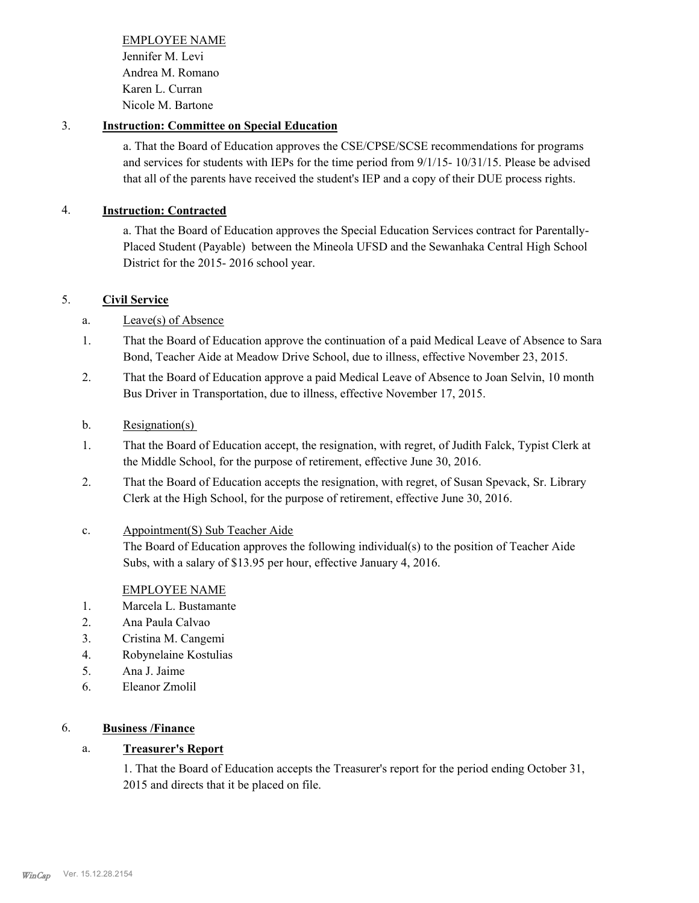EMPLOYEE NAME Jennifer M. Levi Andrea M. Romano Karen L. Curran Nicole M. Bartone

## 3. **Instruction: Committee on Special Education**

a. That the Board of Education approves the CSE/CPSE/SCSE recommendations for programs and services for students with IEPs for the time period from 9/1/15- 10/31/15. Please be advised that all of the parents have received the student's IEP and a copy of their DUE process rights.

# 4. **Instruction: Contracted**

a. That the Board of Education approves the Special Education Services contract for Parentally-Placed Student (Payable) between the Mineola UFSD and the Sewanhaka Central High School District for the 2015- 2016 school year.

# 5. **Civil Service**

- a. Leave(s) of Absence
- That the Board of Education approve the continuation of a paid Medical Leave of Absence to Sara Bond, Teacher Aide at Meadow Drive School, due to illness, effective November 23, 2015. 1.
- That the Board of Education approve a paid Medical Leave of Absence to Joan Selvin, 10 month Bus Driver in Transportation, due to illness, effective November 17, 2015. 2.
- b. Resignation(s)
- That the Board of Education accept, the resignation, with regret, of Judith Falck, Typist Clerk at the Middle School, for the purpose of retirement, effective June 30, 2016. 1.
- That the Board of Education accepts the resignation, with regret, of Susan Spevack, Sr. Library Clerk at the High School, for the purpose of retirement, effective June 30, 2016. 2.
- Appointment(S) Sub Teacher Aide c.

The Board of Education approves the following individual(s) to the position of Teacher Aide Subs, with a salary of \$13.95 per hour, effective January 4, 2016.

#### EMPLOYEE NAME

- 1. Marcela L. Bustamante
- 2. Ana Paula Calvao
- 3. Cristina M. Cangemi
- 4. Robynelaine Kostulias
- 5. Ana J. Jaime
- 6. Eleanor Zmolil

#### 6. **Business /Finance**

#### a. **Treasurer's Report**

1. That the Board of Education accepts the Treasurer's report for the period ending October 31, 2015 and directs that it be placed on file.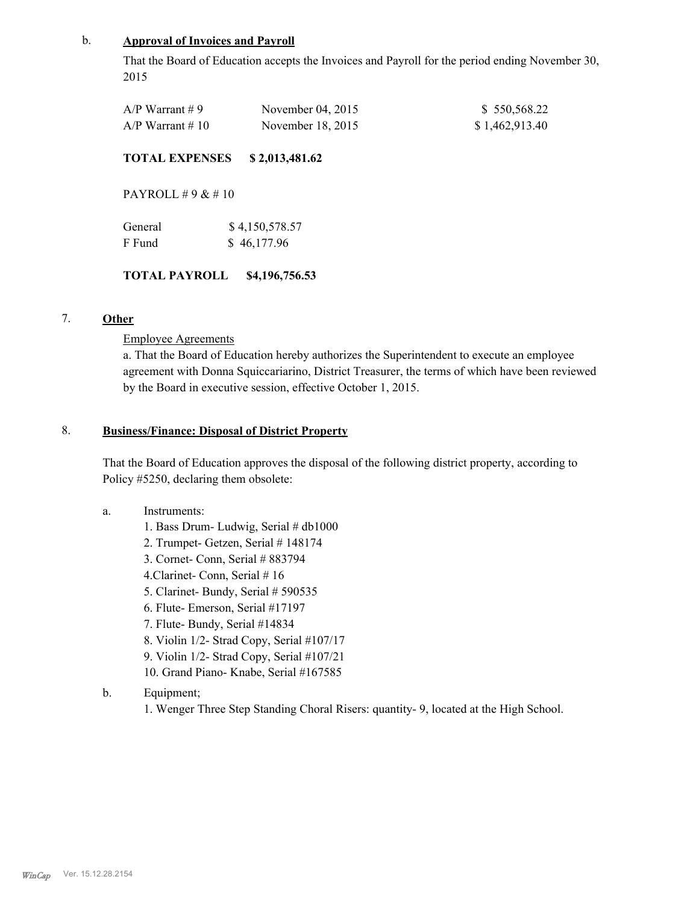#### b. **Approval of Invoices and Payroll**

That the Board of Education accepts the Invoices and Payroll for the period ending November 30, 2015

| $A/P$ Warrant #9   | November 04, 2015 | \$550,568.22   |
|--------------------|-------------------|----------------|
| $A/P$ Warrant # 10 | November 18, 2015 | \$1,462,913.40 |

#### **TOTAL EXPENSES \$ 2,013,481.62**

PAYROLL # 9 & # 10

| General | \$4,150,578.57 |
|---------|----------------|
| F Fund  | \$46,177.96    |

#### **TOTAL PAYROLL \$4,196,756.53**

#### 7. **Other**

Employee Agreements

a. That the Board of Education hereby authorizes the Superintendent to execute an employee agreement with Donna Squiccariarino, District Treasurer, the terms of which have been reviewed by the Board in executive session, effective October 1, 2015.

#### **Business/Finance: Disposal of District Property** 8.

That the Board of Education approves the disposal of the following district property, according to Policy #5250, declaring them obsolete:

- Instruments: a.
	- 1. Bass Drum- Ludwig, Serial # db1000
	- 2. Trumpet- Getzen, Serial # 148174
	- 3. Cornet- Conn, Serial # 883794
	- 4. Clarinet- Conn, Serial #16
	- 5. Clarinet- Bundy, Serial # 590535
	- 6. Flute- Emerson, Serial #17197
	- 7. Flute- Bundy, Serial #14834
	- 8. Violin 1/2- Strad Copy, Serial #107/17
	- 9. Violin 1/2- Strad Copy, Serial #107/21
	- 10. Grand Piano- Knabe, Serial #167585
- Equipment; b.
	- 1. Wenger Three Step Standing Choral Risers: quantity- 9, located at the High School.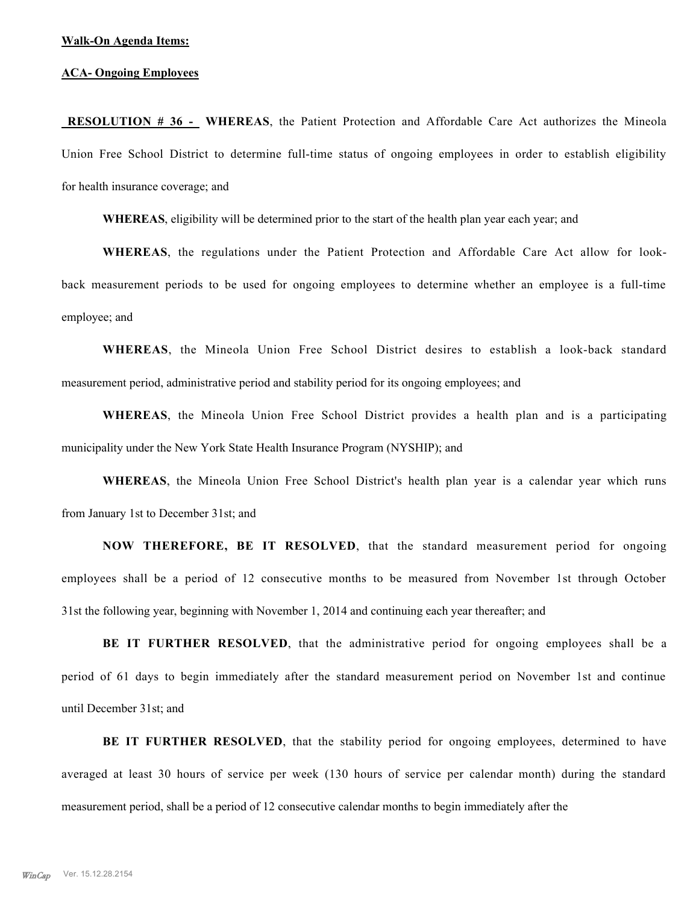#### **ACA- Ongoing Employees**

 **RESOLUTION # 36 - WHEREAS**, the Patient Protection and Affordable Care Act authorizes the Mineola Union Free School District to determine full-time status of ongoing employees in order to establish eligibility for health insurance coverage; and

**WHEREAS**, eligibility will be determined prior to the start of the health plan year each year; and

**WHEREAS**, the regulations under the Patient Protection and Affordable Care Act allow for lookback measurement periods to be used for ongoing employees to determine whether an employee is a full-time employee; and

**WHEREAS**, the Mineola Union Free School District desires to establish a look-back standard measurement period, administrative period and stability period for its ongoing employees; and

**WHEREAS**, the Mineola Union Free School District provides a health plan and is a participating municipality under the New York State Health Insurance Program (NYSHIP); and

**WHEREAS**, the Mineola Union Free School District's health plan year is a calendar year which runs from January 1st to December 31st; and

**NOW THEREFORE, BE IT RESOLVED**, that the standard measurement period for ongoing employees shall be a period of 12 consecutive months to be measured from November 1st through October 31st the following year, beginning with November 1, 2014 and continuing each year thereafter; and

**BE IT FURTHER RESOLVED**, that the administrative period for ongoing employees shall be a period of 61 days to begin immediately after the standard measurement period on November 1st and continue until December 31st; and

**BE IT FURTHER RESOLVED**, that the stability period for ongoing employees, determined to have averaged at least 30 hours of service per week (130 hours of service per calendar month) during the standard measurement period, shall be a period of 12 consecutive calendar months to begin immediately after the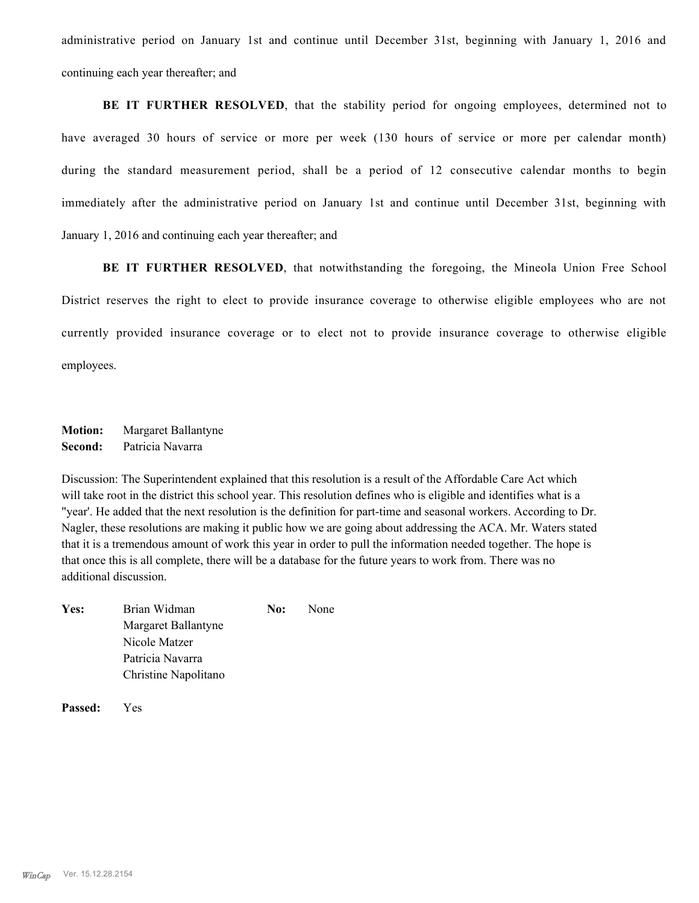administrative period on January 1st and continue until December 31st, beginning with January 1, 2016 and continuing each year thereafter; and

**BE IT FURTHER RESOLVED**, that the stability period for ongoing employees, determined not to have averaged 30 hours of service or more per week (130 hours of service or more per calendar month) during the standard measurement period, shall be a period of 12 consecutive calendar months to begin immediately after the administrative period on January 1st and continue until December 31st, beginning with January 1, 2016 and continuing each year thereafter; and

**BE IT FURTHER RESOLVED**, that notwithstanding the foregoing, the Mineola Union Free School District reserves the right to elect to provide insurance coverage to otherwise eligible employees who are not currently provided insurance coverage or to elect not to provide insurance coverage to otherwise eligible employees.

**Motion:** Margaret Ballantyne **Second:** Patricia Navarra

Discussion: The Superintendent explained that this resolution is a result of the Affordable Care Act which will take root in the district this school year. This resolution defines who is eligible and identifies what is a "year'. He added that the next resolution is the definition for part-time and seasonal workers. According to Dr. Nagler, these resolutions are making it public how we are going about addressing the ACA. Mr. Waters stated that it is a tremendous amount of work this year in order to pull the information needed together. The hope is that once this is all complete, there will be a database for the future years to work from. There was no additional discussion.

| Yes: | Brian Widman         | No: | None |
|------|----------------------|-----|------|
|      | Margaret Ballantyne  |     |      |
|      | Nicole Matzer        |     |      |
|      | Patricia Navarra     |     |      |
|      | Christine Napolitano |     |      |
|      |                      |     |      |

**Passed:** Yes

*WinCap* Ver. 15.12.28.2154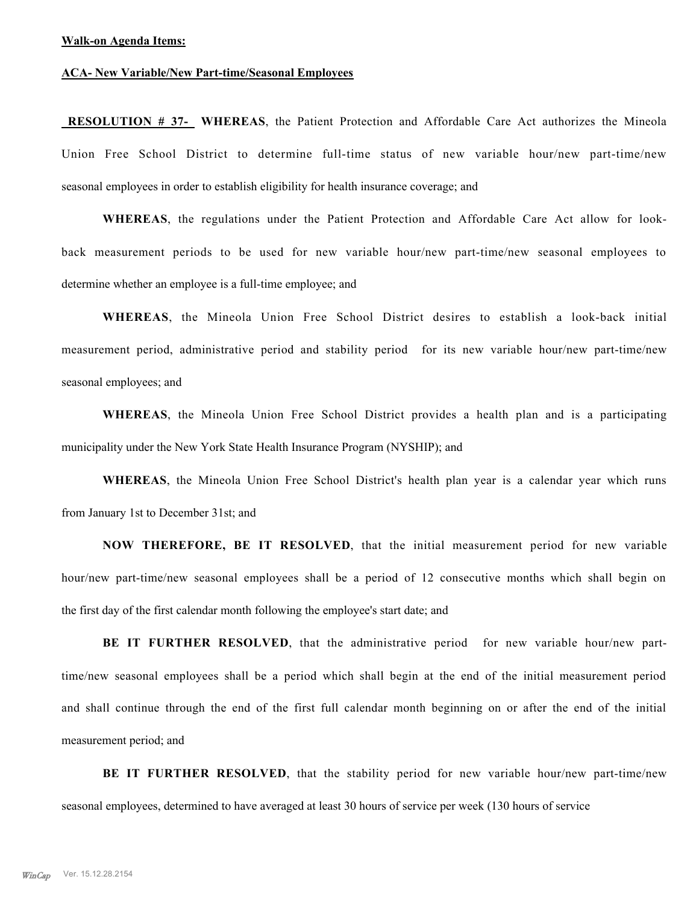#### **ACA- New Variable/New Part-time/Seasonal Employees**

 **RESOLUTION # 37- WHEREAS**, the Patient Protection and Affordable Care Act authorizes the Mineola Union Free School District to determine full-time status of new variable hour/new part-time/new seasonal employees in order to establish eligibility for health insurance coverage; and

**WHEREAS**, the regulations under the Patient Protection and Affordable Care Act allow for lookback measurement periods to be used for new variable hour/new part-time/new seasonal employees to determine whether an employee is a full-time employee; and

**WHEREAS**, the Mineola Union Free School District desires to establish a look-back initial measurement period, administrative period and stability period for its new variable hour/new part-time/new seasonal employees; and

**WHEREAS**, the Mineola Union Free School District provides a health plan and is a participating municipality under the New York State Health Insurance Program (NYSHIP); and

**WHEREAS**, the Mineola Union Free School District's health plan year is a calendar year which runs from January 1st to December 31st; and

**NOW THEREFORE, BE IT RESOLVED**, that the initial measurement period for new variable hour/new part-time/new seasonal employees shall be a period of 12 consecutive months which shall begin on the first day of the first calendar month following the employee's start date; and

**BE IT FURTHER RESOLVED**, that the administrative period for new variable hour/new parttime/new seasonal employees shall be a period which shall begin at the end of the initial measurement period and shall continue through the end of the first full calendar month beginning on or after the end of the initial measurement period; and

**BE IT FURTHER RESOLVED**, that the stability period for new variable hour/new part-time/new seasonal employees, determined to have averaged at least 30 hours of service per week (130 hours of service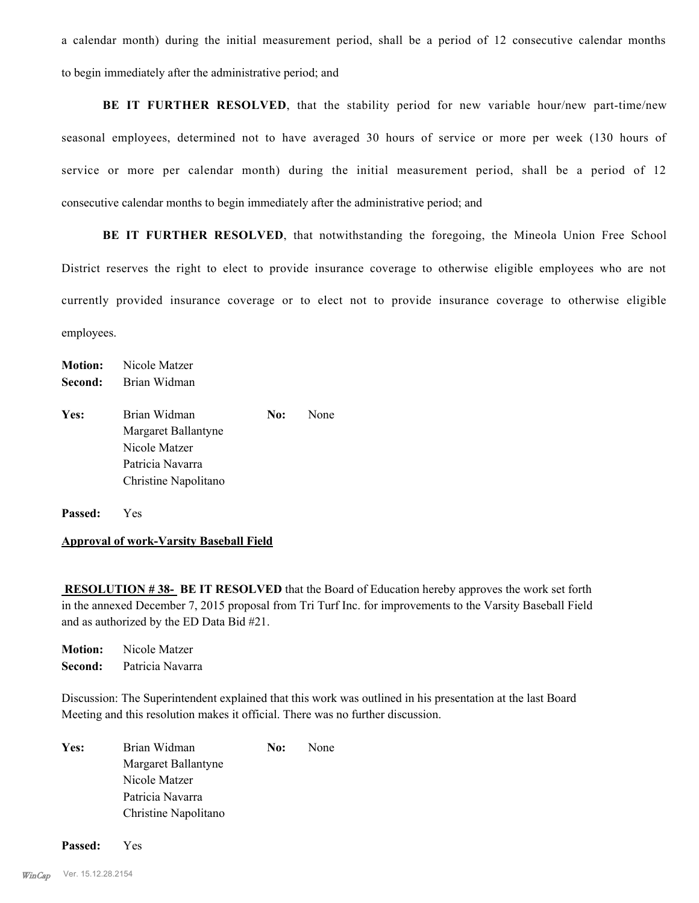a calendar month) during the initial measurement period, shall be a period of 12 consecutive calendar months to begin immediately after the administrative period; and

**BE IT FURTHER RESOLVED**, that the stability period for new variable hour/new part-time/new seasonal employees, determined not to have averaged 30 hours of service or more per week (130 hours of service or more per calendar month) during the initial measurement period, shall be a period of 12 consecutive calendar months to begin immediately after the administrative period; and

**BE IT FURTHER RESOLVED**, that notwithstanding the foregoing, the Mineola Union Free School District reserves the right to elect to provide insurance coverage to otherwise eligible employees who are not currently provided insurance coverage or to elect not to provide insurance coverage to otherwise eligible employees.

**Motion:** Nicole Matzer **Second:** Brian Widman Yes: Brian Widman **No:** None Margaret Ballantyne Nicole Matzer Patricia Navarra Christine Napolitano

**Passed:** Yes

**Approval of work-Varsity Baseball Field**

**RESOLUTION #38- BE IT RESOLVED** that the Board of Education hereby approves the work set forth in the annexed December 7, 2015 proposal from Tri Turf Inc. for improvements to the Varsity Baseball Field and as authorized by the ED Data Bid #21.

**Motion:** Nicole Matzer **Second:** Patricia Navarra

Discussion: The Superintendent explained that this work was outlined in his presentation at the last Board Meeting and this resolution makes it official. There was no further discussion.

Yes: Brian Widman **No:** None Margaret Ballantyne Nicole Matzer Patricia Navarra Christine Napolitano

**Passed:** Yes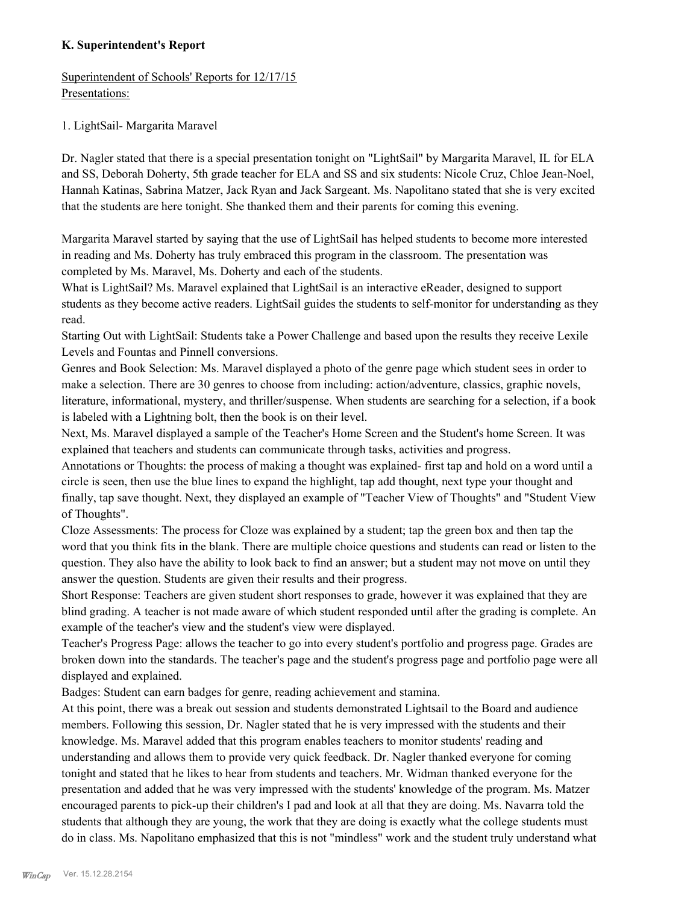#### **K. Superintendent's Report**

Superintendent of Schools' Reports for 12/17/15 Presentations:

#### 1. LightSail- Margarita Maravel

Dr. Nagler stated that there is a special presentation tonight on "LightSail" by Margarita Maravel, IL for ELA and SS, Deborah Doherty, 5th grade teacher for ELA and SS and six students: Nicole Cruz, Chloe Jean-Noel, Hannah Katinas, Sabrina Matzer, Jack Ryan and Jack Sargeant. Ms. Napolitano stated that she is very excited that the students are here tonight. She thanked them and their parents for coming this evening.

Margarita Maravel started by saying that the use of LightSail has helped students to become more interested in reading and Ms. Doherty has truly embraced this program in the classroom. The presentation was completed by Ms. Maravel, Ms. Doherty and each of the students.

What is LightSail? Ms. Maravel explained that LightSail is an interactive eReader, designed to support students as they become active readers. LightSail guides the students to self-monitor for understanding as they read.

Starting Out with LightSail: Students take a Power Challenge and based upon the results they receive Lexile Levels and Fountas and Pinnell conversions.

Genres and Book Selection: Ms. Maravel displayed a photo of the genre page which student sees in order to make a selection. There are 30 genres to choose from including: action/adventure, classics, graphic novels, literature, informational, mystery, and thriller/suspense. When students are searching for a selection, if a book is labeled with a Lightning bolt, then the book is on their level.

Next, Ms. Maravel displayed a sample of the Teacher's Home Screen and the Student's home Screen. It was explained that teachers and students can communicate through tasks, activities and progress.

Annotations or Thoughts: the process of making a thought was explained- first tap and hold on a word until a circle is seen, then use the blue lines to expand the highlight, tap add thought, next type your thought and finally, tap save thought. Next, they displayed an example of "Teacher View of Thoughts" and "Student View of Thoughts".

Cloze Assessments: The process for Cloze was explained by a student; tap the green box and then tap the word that you think fits in the blank. There are multiple choice questions and students can read or listen to the question. They also have the ability to look back to find an answer; but a student may not move on until they answer the question. Students are given their results and their progress.

Short Response: Teachers are given student short responses to grade, however it was explained that they are blind grading. A teacher is not made aware of which student responded until after the grading is complete. An example of the teacher's view and the student's view were displayed.

Teacher's Progress Page: allows the teacher to go into every student's portfolio and progress page. Grades are broken down into the standards. The teacher's page and the student's progress page and portfolio page were all displayed and explained.

Badges: Student can earn badges for genre, reading achievement and stamina.

At this point, there was a break out session and students demonstrated Lightsail to the Board and audience members. Following this session, Dr. Nagler stated that he is very impressed with the students and their knowledge. Ms. Maravel added that this program enables teachers to monitor students' reading and understanding and allows them to provide very quick feedback. Dr. Nagler thanked everyone for coming tonight and stated that he likes to hear from students and teachers. Mr. Widman thanked everyone for the presentation and added that he was very impressed with the students' knowledge of the program. Ms. Matzer encouraged parents to pick-up their children's I pad and look at all that they are doing. Ms. Navarra told the students that although they are young, the work that they are doing is exactly what the college students must do in class. Ms. Napolitano emphasized that this is not "mindless" work and the student truly understand what